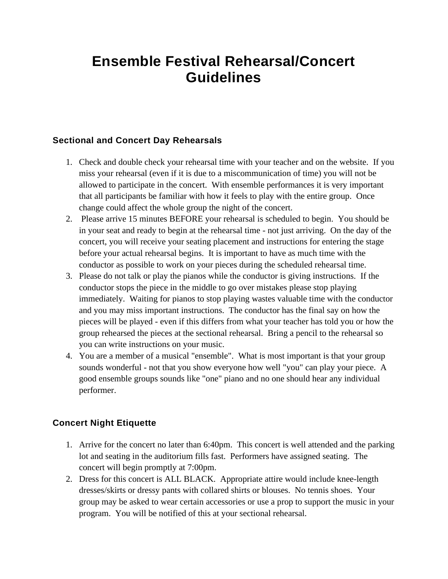## **Ensemble Festival Rehearsal/Concert Guidelines**

## **Sectional and Concert Day Rehearsals**

- 1. Check and double check your rehearsal time with your teacher and on the website. If you miss your rehearsal (even if it is due to a miscommunication of time) you will not be allowed to participate in the concert. With ensemble performances it is very important that all participants be familiar with how it feels to play with the entire group. Once change could affect the whole group the night of the concert.
- 2. Please arrive 15 minutes BEFORE your rehearsal is scheduled to begin. You should be in your seat and ready to begin at the rehearsal time - not just arriving. On the day of the concert, you will receive your seating placement and instructions for entering the stage before your actual rehearsal begins. It is important to have as much time with the conductor as possible to work on your pieces during the scheduled rehearsal time.
- 3. Please do not talk or play the pianos while the conductor is giving instructions. If the conductor stops the piece in the middle to go over mistakes please stop playing immediately. Waiting for pianos to stop playing wastes valuable time with the conductor and you may miss important instructions. The conductor has the final say on how the pieces will be played - even if this differs from what your teacher has told you or how the group rehearsed the pieces at the sectional rehearsal. Bring a pencil to the rehearsal so you can write instructions on your music.
- 4. You are a member of a musical "ensemble". What is most important is that your group sounds wonderful - not that you show everyone how well "you" can play your piece. A good ensemble groups sounds like "one" piano and no one should hear any individual performer.

## **Concert Night Etiquette**

- 1. Arrive for the concert no later than 6:40pm. This concert is well attended and the parking lot and seating in the auditorium fills fast. Performers have assigned seating. The concert will begin promptly at 7:00pm.
- 2. Dress for this concert is ALL BLACK. Appropriate attire would include knee-length dresses/skirts or dressy pants with collared shirts or blouses. No tennis shoes. Your group may be asked to wear certain accessories or use a prop to support the music in your program. You will be notified of this at your sectional rehearsal.